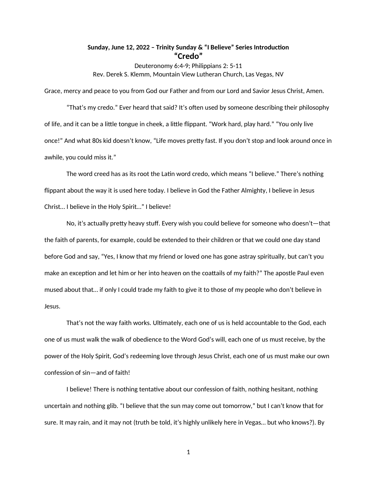## **Sunday, June 12, 2022 – Trinity Sunday & "I Believe" Series Introduction "Credo"**

Deuteronomy 6:4-9; Philippians 2: 5-11 Rev. Derek S. Klemm, Mountain View Lutheran Church, Las Vegas, NV

Grace, mercy and peace to you from God our Father and from our Lord and Savior Jesus Christ, Amen.

"That's my credo." Ever heard that said? It's often used by someone describing their philosophy of life, and it can be a little tongue in cheek, a little flippant. "Work hard, play hard." "You only live once!" And what 80s kid doesn't know, "Life moves pretty fast. If you don't stop and look around once in awhile, you could miss it."

The word creed has as its root the Latin word credo, which means "I believe." There's nothing flippant about the way it is used here today. I believe in God the Father Almighty, I believe in Jesus Christ… I believe in the Holy Spirit…" I believe!

No, it's actually pretty heavy stuff. Every wish you could believe for someone who doesn't—that the faith of parents, for example, could be extended to their children or that we could one day stand before God and say, "Yes, I know that my friend or loved one has gone astray spiritually, but can't you make an exception and let him or her into heaven on the coattails of my faith?" The apostle Paul even mused about that… if only I could trade my faith to give it to those of my people who don't believe in Jesus.

That's not the way faith works. Ultimately, each one of us is held accountable to the God, each one of us must walk the walk of obedience to the Word God's will, each one of us must receive, by the power of the Holy Spirit, God's redeeming love through Jesus Christ, each one of us must make our own confession of sin—and of faith!

I believe! There is nothing tentative about our confession of faith, nothing hesitant, nothing uncertain and nothing glib. "I believe that the sun may come out tomorrow," but I can't know that for sure. It may rain, and it may not (truth be told, it's highly unlikely here in Vegas… but who knows?). By

1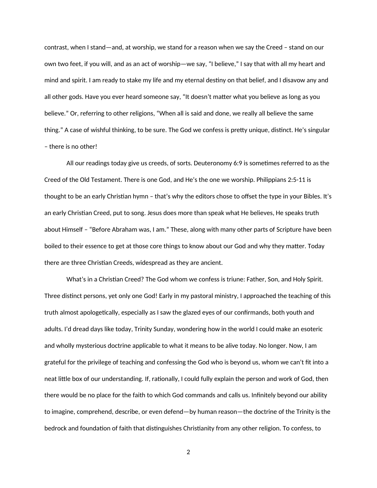contrast, when I stand—and, at worship, we stand for a reason when we say the Creed – stand on our own two feet, if you will, and as an act of worship—we say, "I believe," I say that with all my heart and mind and spirit. I am ready to stake my life and my eternal destiny on that belief, and I disavow any and all other gods. Have you ever heard someone say, "It doesn't matter what you believe as long as you believe." Or, referring to other religions, "When all is said and done, we really all believe the same thing." A case of wishful thinking, to be sure. The God we confess is pretty unique, distinct. He's singular – there is no other!

All our readings today give us creeds, of sorts. Deuteronomy 6:9 is sometimes referred to as the Creed of the Old Testament. There is one God, and He's the one we worship. Philippians 2:5-11 is thought to be an early Christian hymn – that's why the editors chose to offset the type in your Bibles. It's an early Christian Creed, put to song. Jesus does more than speak what He believes, He speaks truth about Himself – "Before Abraham was, I am." These, along with many other parts of Scripture have been boiled to their essence to get at those core things to know about our God and why they matter. Today there are three Christian Creeds, widespread as they are ancient.

What's in a Christian Creed? The God whom we confess is triune: Father, Son, and Holy Spirit. Three distinct persons, yet only one God! Early in my pastoral ministry, I approached the teaching of this truth almost apologetically, especially as I saw the glazed eyes of our confirmands, both youth and adults. I'd dread days like today, Trinity Sunday, wondering how in the world I could make an esoteric and wholly mysterious doctrine applicable to what it means to be alive today. No longer. Now, I am grateful for the privilege of teaching and confessing the God who is beyond us, whom we can't fit into a neat little box of our understanding. If, rationally, I could fully explain the person and work of God, then there would be no place for the faith to which God commands and calls us. Infinitely beyond our ability to imagine, comprehend, describe, or even defend—by human reason—the doctrine of the Trinity is the bedrock and foundation of faith that distinguishes Christianity from any other religion. To confess, to

2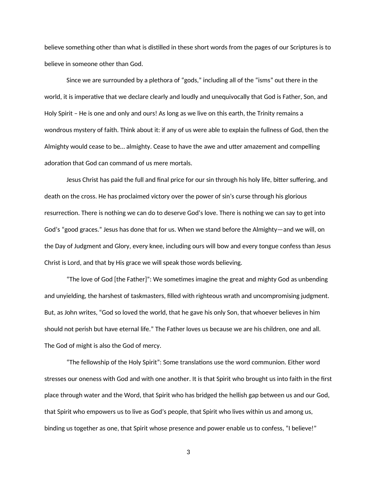believe something other than what is distilled in these short words from the pages of our Scriptures is to believe in someone other than God.

Since we are surrounded by a plethora of "gods," including all of the "isms" out there in the world, it is imperative that we declare clearly and loudly and unequivocally that God is Father, Son, and Holy Spirit – He is one and only and ours! As long as we live on this earth, the Trinity remains a wondrous mystery of faith. Think about it: if any of us were able to explain the fullness of God, then the Almighty would cease to be… almighty. Cease to have the awe and utter amazement and compelling adoration that God can command of us mere mortals.

Jesus Christ has paid the full and final price for our sin through his holy life, bitter suffering, and death on the cross. He has proclaimed victory over the power of sin's curse through his glorious resurrection. There is nothing we can do to deserve God's love. There is nothing we can say to get into God's "good graces." Jesus has done that for us. When we stand before the Almighty—and we will, on the Day of Judgment and Glory, every knee, including ours will bow and every tongue confess than Jesus Christ is Lord, and that by His grace we will speak those words believing.

"The love of God [the Father]": We sometimes imagine the great and mighty God as unbending and unyielding, the harshest of taskmasters, filled with righteous wrath and uncompromising judgment. But, as John writes, "God so loved the world, that he gave his only Son, that whoever believes in him should not perish but have eternal life." The Father loves us because we are his children, one and all. The God of might is also the God of mercy.

"The fellowship of the Holy Spirit": Some translations use the word communion. Either word stresses our oneness with God and with one another. It is that Spirit who brought us into faith in the first place through water and the Word, that Spirit who has bridged the hellish gap between us and our God, that Spirit who empowers us to live as God's people, that Spirit who lives within us and among us, binding us together as one, that Spirit whose presence and power enable us to confess, "I believe!"

3